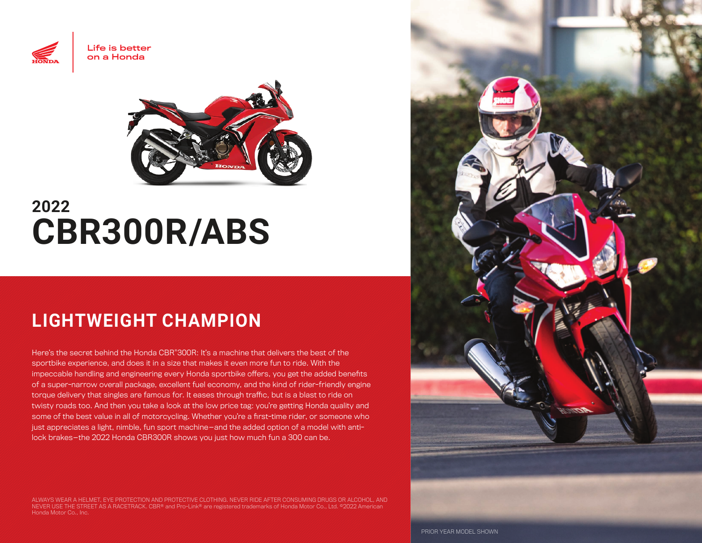



# **2022 CBR300R/ABS**

## **LIGHTWEIGHT CHAMPION**

Here's the secret behind the Honda CBR®300R: It's a machine that delivers the best of the sportbike experience, and does it in a size that makes it even more fun to ride. With the impeccable handling and engineering every Honda sportbike offers, you get the added benefits of a super-narrow overall package, excellent fuel economy, and the kind of rider-friendly engine torque delivery that singles are famous for. It eases through traffic, but is a blast to ride on twisty roads too. And then you take a look at the low price tag: you're getting Honda quality and some of the best value in all of motorcycling. Whether you're a first-time rider, or someone who just appreciates a light, nimble, fun sport machine—and the added option of a model with antilock brakes—the 2022 Honda CBR300R shows you just how much fun a 300 can be.

ALWAYS WEAR A HELMET, EYE PROTECTION AND PROTECTIVE CLOTHING. NEVER RIDE AFTER CONSUMING DRUGS OR ALCOHOL, AND NEVER USE THE STREET AS A RACETRACK. CBR® and Pro-Link® are registered trademarks of Honda Motor Co., Ltd. ©2022 American Honda Motor Co., Inc.



PRIOR YEAR MODEL SHOWN